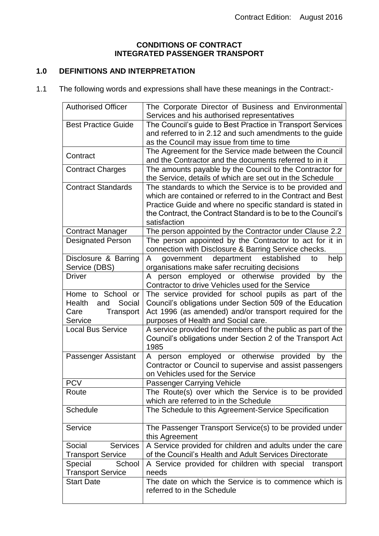#### **CONDITIONS OF CONTRACT INTEGRATED PASSENGER TRANSPORT**

# **1.0 DEFINITIONS AND INTERPRETATION**

1.1 The following words and expressions shall have these meanings in the Contract:-

| <b>Authorised Officer</b>                                                    | The Corporate Director of Business and Environmental<br>Services and his authorised representatives                                                                                                                                                                    |
|------------------------------------------------------------------------------|------------------------------------------------------------------------------------------------------------------------------------------------------------------------------------------------------------------------------------------------------------------------|
| <b>Best Practice Guide</b>                                                   | The Council's guide to Best Practice in Transport Services<br>and referred to in 2.12 and such amendments to the guide<br>as the Council may issue from time to time                                                                                                   |
| Contract                                                                     | The Agreement for the Service made between the Council<br>and the Contractor and the documents referred to in it                                                                                                                                                       |
| <b>Contract Charges</b>                                                      | The amounts payable by the Council to the Contractor for<br>the Service, details of which are set out in the Schedule                                                                                                                                                  |
| <b>Contract Standards</b>                                                    | The standards to which the Service is to be provided and<br>which are contained or referred to in the Contract and Best<br>Practice Guide and where no specific standard is stated in<br>the Contract, the Contract Standard is to be to the Council's<br>satisfaction |
| <b>Contract Manager</b>                                                      | The person appointed by the Contractor under Clause 2.2                                                                                                                                                                                                                |
| Designated Person                                                            | The person appointed by the Contractor to act for it in<br>connection with Disclosure & Barring Service checks.                                                                                                                                                        |
| Disclosure & Barring<br>Service (DBS)                                        | government department established<br>help<br>A<br>to<br>organisations make safer recruiting decisions                                                                                                                                                                  |
| <b>Driver</b>                                                                | person employed or otherwise provided by the<br>A<br>Contractor to drive Vehicles used for the Service                                                                                                                                                                 |
| Home to School or<br>Social<br>Health<br>and<br>Transport<br>Care<br>Service | The service provided for school pupils as part of the<br>Council's obligations under Section 509 of the Education<br>Act 1996 (as amended) and/or transport required for the<br>purposes of Health and Social care.                                                    |
| <b>Local Bus Service</b>                                                     | A service provided for members of the public as part of the<br>Council's obligations under Section 2 of the Transport Act<br>1985                                                                                                                                      |
| Passenger Assistant                                                          | person employed or otherwise provided by the<br>A<br>Contractor or Council to supervise and assist passengers<br>on Vehicles used for the Service                                                                                                                      |
| <b>PCV</b>                                                                   | <b>Passenger Carrying Vehicle</b>                                                                                                                                                                                                                                      |
| Route                                                                        | The Route(s) over which the Service is to be provided<br>which are referred to in the Schedule                                                                                                                                                                         |
| <b>Schedule</b>                                                              | The Schedule to this Agreement-Service Specification                                                                                                                                                                                                                   |
| Service                                                                      | The Passenger Transport Service(s) to be provided under<br>this Agreement                                                                                                                                                                                              |
| Social<br><b>Services</b><br><b>Transport Service</b>                        | A Service provided for children and adults under the care<br>of the Council's Health and Adult Services Directorate                                                                                                                                                    |
| Special<br>School<br><b>Transport Service</b>                                | A Service provided for children with special<br>transport<br>needs                                                                                                                                                                                                     |
| <b>Start Date</b>                                                            | The date on which the Service is to commence which is<br>referred to in the Schedule                                                                                                                                                                                   |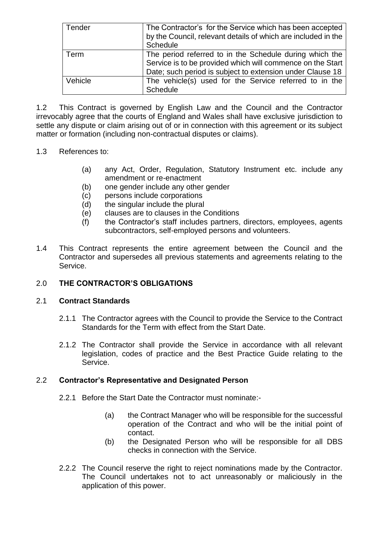| Tender  | The Contractor's for the Service which has been accepted<br>by the Council, relevant details of which are included in the<br>Schedule                                              |
|---------|------------------------------------------------------------------------------------------------------------------------------------------------------------------------------------|
| Term    | The period referred to in the Schedule during which the<br>Service is to be provided which will commence on the Start<br>Date; such period is subject to extension under Clause 18 |
| Vehicle | The vehicle(s) used for the Service referred to in the<br><b>Schedule</b>                                                                                                          |

1.2 This Contract is governed by English Law and the Council and the Contractor irrevocably agree that the courts of England and Wales shall have exclusive jurisdiction to settle any dispute or claim arising out of or in connection with this agreement or its subject matter or formation (including non-contractual disputes or claims).

## 1.3 References to:

- (a) any Act, Order, Regulation, Statutory Instrument etc. include any amendment or re-enactment
- (b) one gender include any other gender
- (c) persons include corporations
- (d) the singular include the plural
- (e) clauses are to clauses in the Conditions
- (f) the Contractor's staff includes partners, directors, employees, agents subcontractors, self-employed persons and volunteers.
- 1.4 This Contract represents the entire agreement between the Council and the Contractor and supersedes all previous statements and agreements relating to the Service.

# 2.0 **THE CONTRACTOR'S OBLIGATIONS**

#### 2.1 **Contract Standards**

- 2.1.1 The Contractor agrees with the Council to provide the Service to the Contract Standards for the Term with effect from the Start Date.
- 2.1.2 The Contractor shall provide the Service in accordance with all relevant legislation, codes of practice and the Best Practice Guide relating to the Service.

#### 2.2 **Contractor's Representative and Designated Person**

- 2.2.1 Before the Start Date the Contractor must nominate:-
	- (a) the Contract Manager who will be responsible for the successful operation of the Contract and who will be the initial point of contact.
	- (b) the Designated Person who will be responsible for all DBS checks in connection with the Service.
- 2.2.2 The Council reserve the right to reject nominations made by the Contractor. The Council undertakes not to act unreasonably or maliciously in the application of this power.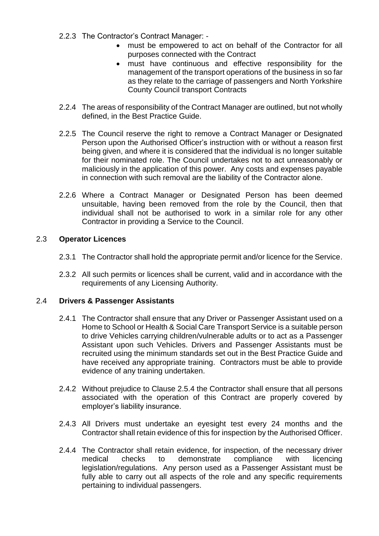- 2.2.3 The Contractor's Contract Manager:
	- must be empowered to act on behalf of the Contractor for all purposes connected with the Contract
	- must have continuous and effective responsibility for the management of the transport operations of the business in so far as they relate to the carriage of passengers and North Yorkshire County Council transport Contracts
- 2.2.4 The areas of responsibility of the Contract Manager are outlined, but not wholly defined, in the Best Practice Guide.
- 2.2.5 The Council reserve the right to remove a Contract Manager or Designated Person upon the Authorised Officer's instruction with or without a reason first being given, and where it is considered that the individual is no longer suitable for their nominated role. The Council undertakes not to act unreasonably or maliciously in the application of this power. Any costs and expenses payable in connection with such removal are the liability of the Contractor alone.
- 2.2.6 Where a Contract Manager or Designated Person has been deemed unsuitable, having been removed from the role by the Council, then that individual shall not be authorised to work in a similar role for any other Contractor in providing a Service to the Council.

# 2.3 **Operator Licences**

- 2.3.1 The Contractor shall hold the appropriate permit and/or licence for the Service.
- 2.3.2 All such permits or licences shall be current, valid and in accordance with the requirements of any Licensing Authority.

# 2.4 **Drivers & Passenger Assistants**

- 2.4.1 The Contractor shall ensure that any Driver or Passenger Assistant used on a Home to School or Health & Social Care Transport Service is a suitable person to drive Vehicles carrying children/vulnerable adults or to act as a Passenger Assistant upon such Vehicles. Drivers and Passenger Assistants must be recruited using the minimum standards set out in the Best Practice Guide and have received any appropriate training. Contractors must be able to provide evidence of any training undertaken.
- 2.4.2 Without prejudice to Clause 2.5.4 the Contractor shall ensure that all persons associated with the operation of this Contract are properly covered by employer's liability insurance.
- 2.4.3 All Drivers must undertake an eyesight test every 24 months and the Contractor shall retain evidence of this for inspection by the Authorised Officer.
- 2.4.4 The Contractor shall retain evidence, for inspection, of the necessary driver medical checks to demonstrate compliance with licencing legislation/regulations. Any person used as a Passenger Assistant must be fully able to carry out all aspects of the role and any specific requirements pertaining to individual passengers.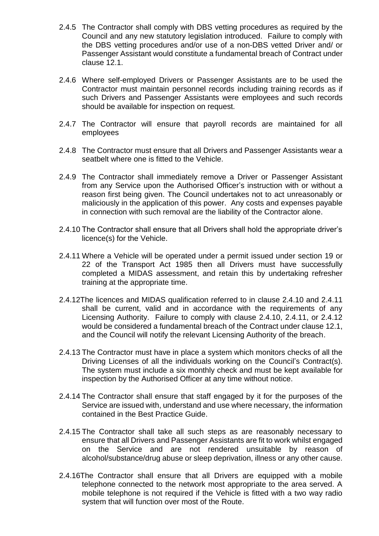- 2.4.5 The Contractor shall comply with DBS vetting procedures as required by the Council and any new statutory legislation introduced. Failure to comply with the DBS vetting procedures and/or use of a non-DBS vetted Driver and/ or Passenger Assistant would constitute a fundamental breach of Contract under clause 12.1.
- 2.4.6 Where self-employed Drivers or Passenger Assistants are to be used the Contractor must maintain personnel records including training records as if such Drivers and Passenger Assistants were employees and such records should be available for inspection on request.
- 2.4.7 The Contractor will ensure that payroll records are maintained for all employees
- 2.4.8 The Contractor must ensure that all Drivers and Passenger Assistants wear a seatbelt where one is fitted to the Vehicle.
- 2.4.9 The Contractor shall immediately remove a Driver or Passenger Assistant from any Service upon the Authorised Officer's instruction with or without a reason first being given. The Council undertakes not to act unreasonably or maliciously in the application of this power. Any costs and expenses payable in connection with such removal are the liability of the Contractor alone.
- 2.4.10 The Contractor shall ensure that all Drivers shall hold the appropriate driver's licence(s) for the Vehicle.
- 2.4.11 Where a Vehicle will be operated under a permit issued under section 19 or 22 of the Transport Act 1985 then all Drivers must have successfully completed a MIDAS assessment, and retain this by undertaking refresher training at the appropriate time.
- 2.4.12The licences and MIDAS qualification referred to in clause 2.4.10 and 2.4.11 shall be current, valid and in accordance with the requirements of any Licensing Authority. Failure to comply with clause 2.4.10, 2.4.11, or 2.4.12 would be considered a fundamental breach of the Contract under clause 12.1, and the Council will notify the relevant Licensing Authority of the breach.
- 2.4.13 The Contractor must have in place a system which monitors checks of all the Driving Licenses of all the individuals working on the Council's Contract(s). The system must include a six monthly check and must be kept available for inspection by the Authorised Officer at any time without notice.
- 2.4.14 The Contractor shall ensure that staff engaged by it for the purposes of the Service are issued with, understand and use where necessary, the information contained in the Best Practice Guide.
- 2.4.15 The Contractor shall take all such steps as are reasonably necessary to ensure that all Drivers and Passenger Assistants are fit to work whilst engaged on the Service and are not rendered unsuitable by reason of alcohol/substance/drug abuse or sleep deprivation, illness or any other cause.
- 2.4.16The Contractor shall ensure that all Drivers are equipped with a mobile telephone connected to the network most appropriate to the area served. A mobile telephone is not required if the Vehicle is fitted with a two way radio system that will function over most of the Route.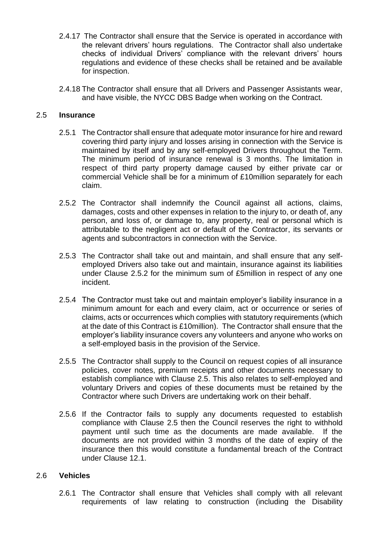- 2.4.17 The Contractor shall ensure that the Service is operated in accordance with the relevant drivers' hours regulations. The Contractor shall also undertake checks of individual Drivers' compliance with the relevant drivers' hours regulations and evidence of these checks shall be retained and be available for inspection.
- 2.4.18 The Contractor shall ensure that all Drivers and Passenger Assistants wear, and have visible, the NYCC DBS Badge when working on the Contract.

#### 2.5 **Insurance**

- 2.5.1 The Contractor shall ensure that adequate motor insurance for hire and reward covering third party injury and losses arising in connection with the Service is maintained by itself and by any self-employed Drivers throughout the Term. The minimum period of insurance renewal is 3 months. The limitation in respect of third party property damage caused by either private car or commercial Vehicle shall be for a minimum of £10million separately for each claim.
- 2.5.2 The Contractor shall indemnify the Council against all actions, claims, damages, costs and other expenses in relation to the injury to, or death of, any person, and loss of, or damage to, any property, real or personal which is attributable to the negligent act or default of the Contractor, its servants or agents and subcontractors in connection with the Service.
- 2.5.3 The Contractor shall take out and maintain, and shall ensure that any selfemployed Drivers also take out and maintain, insurance against its liabilities under Clause 2.5.2 for the minimum sum of £5million in respect of any one incident.
- 2.5.4 The Contractor must take out and maintain employer's liability insurance in a minimum amount for each and every claim, act or occurrence or series of claims, acts or occurrences which complies with statutory requirements (which at the date of this Contract is £10million). The Contractor shall ensure that the employer's liability insurance covers any volunteers and anyone who works on a self-employed basis in the provision of the Service.
- 2.5.5 The Contractor shall supply to the Council on request copies of all insurance policies, cover notes, premium receipts and other documents necessary to establish compliance with Clause 2.5. This also relates to self-employed and voluntary Drivers and copies of these documents must be retained by the Contractor where such Drivers are undertaking work on their behalf.
- 2.5.6 If the Contractor fails to supply any documents requested to establish compliance with Clause 2.5 then the Council reserves the right to withhold payment until such time as the documents are made available. If the documents are not provided within 3 months of the date of expiry of the insurance then this would constitute a fundamental breach of the Contract under Clause 12.1.

#### 2.6 **Vehicles**

2.6.1 The Contractor shall ensure that Vehicles shall comply with all relevant requirements of law relating to construction (including the Disability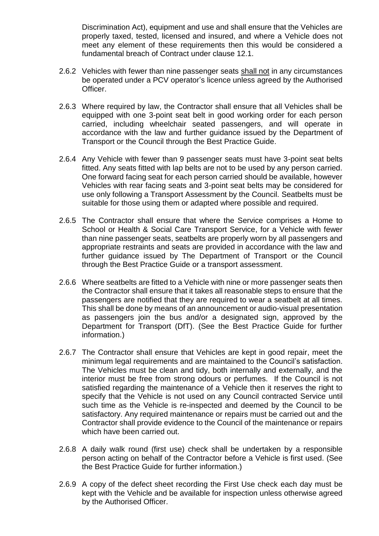Discrimination Act), equipment and use and shall ensure that the Vehicles are properly taxed, tested, licensed and insured, and where a Vehicle does not meet any element of these requirements then this would be considered a fundamental breach of Contract under clause 12.1.

- 2.6.2 Vehicles with fewer than nine passenger seats shall not in any circumstances be operated under a PCV operator's licence unless agreed by the Authorised Officer.
- 2.6.3 Where required by law, the Contractor shall ensure that all Vehicles shall be equipped with one 3-point seat belt in good working order for each person carried, including wheelchair seated passengers, and will operate in accordance with the law and further guidance issued by the Department of Transport or the Council through the Best Practice Guide.
- 2.6.4 Any Vehicle with fewer than 9 passenger seats must have 3-point seat belts fitted. Any seats fitted with lap belts are not to be used by any person carried. One forward facing seat for each person carried should be available, however Vehicles with rear facing seats and 3-point seat belts may be considered for use only following a Transport Assessment by the Council. Seatbelts must be suitable for those using them or adapted where possible and required.
- 2.6.5 The Contractor shall ensure that where the Service comprises a Home to School or Health & Social Care Transport Service, for a Vehicle with fewer than nine passenger seats, seatbelts are properly worn by all passengers and appropriate restraints and seats are provided in accordance with the law and further guidance issued by The Department of Transport or the Council through the Best Practice Guide or a transport assessment.
- 2.6.6 Where seatbelts are fitted to a Vehicle with nine or more passenger seats then the Contractor shall ensure that it takes all reasonable steps to ensure that the passengers are notified that they are required to wear a seatbelt at all times. This shall be done by means of an announcement or audio-visual presentation as passengers join the bus and/or a designated sign, approved by the Department for Transport (DfT). (See the Best Practice Guide for further information.)
- 2.6.7 The Contractor shall ensure that Vehicles are kept in good repair, meet the minimum legal requirements and are maintained to the Council's satisfaction. The Vehicles must be clean and tidy, both internally and externally, and the interior must be free from strong odours or perfumes. If the Council is not satisfied regarding the maintenance of a Vehicle then it reserves the right to specify that the Vehicle is not used on any Council contracted Service until such time as the Vehicle is re-inspected and deemed by the Council to be satisfactory. Any required maintenance or repairs must be carried out and the Contractor shall provide evidence to the Council of the maintenance or repairs which have been carried out.
- 2.6.8 A daily walk round (first use) check shall be undertaken by a responsible person acting on behalf of the Contractor before a Vehicle is first used. (See the Best Practice Guide for further information.)
- 2.6.9 A copy of the defect sheet recording the First Use check each day must be kept with the Vehicle and be available for inspection unless otherwise agreed by the Authorised Officer.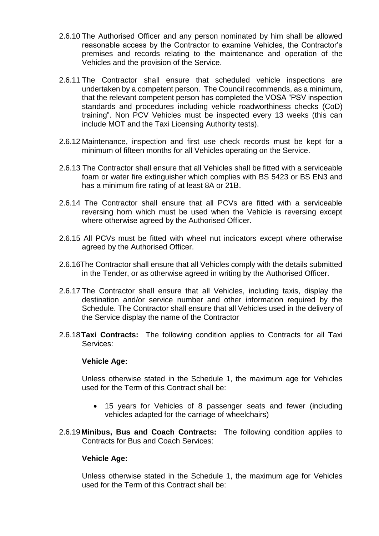- 2.6.10 The Authorised Officer and any person nominated by him shall be allowed reasonable access by the Contractor to examine Vehicles, the Contractor's premises and records relating to the maintenance and operation of the Vehicles and the provision of the Service.
- 2.6.11 The Contractor shall ensure that scheduled vehicle inspections are undertaken by a competent person. The Council recommends, as a minimum, that the relevant competent person has completed the VOSA "PSV inspection standards and procedures including vehicle roadworthiness checks (CoD) training". Non PCV Vehicles must be inspected every 13 weeks (this can include MOT and the Taxi Licensing Authority tests).
- 2.6.12 Maintenance, inspection and first use check records must be kept for a minimum of fifteen months for all Vehicles operating on the Service.
- 2.6.13 The Contractor shall ensure that all Vehicles shall be fitted with a serviceable foam or water fire extinguisher which complies with BS 5423 or BS EN3 and has a minimum fire rating of at least 8A or 21B.
- 2.6.14 The Contractor shall ensure that all PCVs are fitted with a serviceable reversing horn which must be used when the Vehicle is reversing except where otherwise agreed by the Authorised Officer.
- 2.6.15 All PCVs must be fitted with wheel nut indicators except where otherwise agreed by the Authorised Officer.
- 2.6.16The Contractor shall ensure that all Vehicles comply with the details submitted in the Tender, or as otherwise agreed in writing by the Authorised Officer.
- 2.6.17 The Contractor shall ensure that all Vehicles, including taxis, display the destination and/or service number and other information required by the Schedule. The Contractor shall ensure that all Vehicles used in the delivery of the Service display the name of the Contractor
- 2.6.18**Taxi Contracts:** The following condition applies to Contracts for all Taxi Services:

#### **Vehicle Age:**

Unless otherwise stated in the Schedule 1, the maximum age for Vehicles used for the Term of this Contract shall be:

- 15 years for Vehicles of 8 passenger seats and fewer (including vehicles adapted for the carriage of wheelchairs)
- 2.6.19**Minibus, Bus and Coach Contracts:** The following condition applies to Contracts for Bus and Coach Services:

#### **Vehicle Age:**

Unless otherwise stated in the Schedule 1, the maximum age for Vehicles used for the Term of this Contract shall be: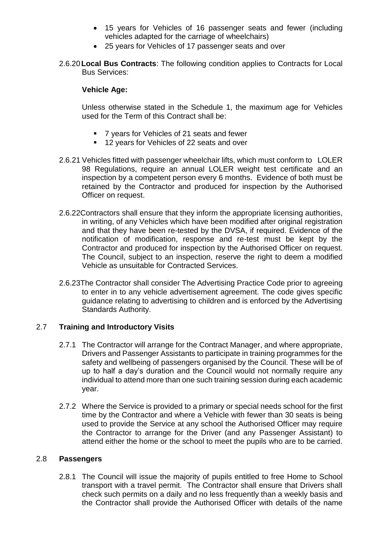- 15 years for Vehicles of 16 passenger seats and fewer (including vehicles adapted for the carriage of wheelchairs)
- 25 years for Vehicles of 17 passenger seats and over
- 2.6.20**Local Bus Contracts**: The following condition applies to Contracts for Local Bus Services:

#### **Vehicle Age:**

Unless otherwise stated in the Schedule 1, the maximum age for Vehicles used for the Term of this Contract shall be:

- 7 years for Vehicles of 21 seats and fewer
- 12 years for Vehicles of 22 seats and over
- 2.6.21 Vehicles fitted with passenger wheelchair lifts, which must conform to LOLER 98 Regulations, require an annual LOLER weight test certificate and an inspection by a competent person every 6 months. Evidence of both must be retained by the Contractor and produced for inspection by the Authorised Officer on request.
- 2.6.22Contractors shall ensure that they inform the appropriate licensing authorities, in writing, of any Vehicles which have been modified after original registration and that they have been re-tested by the DVSA, if required. Evidence of the notification of modification, response and re-test must be kept by the Contractor and produced for inspection by the Authorised Officer on request. The Council, subject to an inspection, reserve the right to deem a modified Vehicle as unsuitable for Contracted Services.
- 2.6.23The Contractor shall consider The Advertising Practice Code prior to agreeing to enter in to any vehicle advertisement agreement. The code gives specific guidance relating to advertising to children and is enforced by the Advertising Standards Authority.

# 2.7 **Training and Introductory Visits**

- 2.7.1 The Contractor will arrange for the Contract Manager, and where appropriate, Drivers and Passenger Assistants to participate in training programmes for the safety and wellbeing of passengers organised by the Council. These will be of up to half a day's duration and the Council would not normally require any individual to attend more than one such training session during each academic year.
- 2.7.2 Where the Service is provided to a primary or special needs school for the first time by the Contractor and where a Vehicle with fewer than 30 seats is being used to provide the Service at any school the Authorised Officer may require the Contractor to arrange for the Driver (and any Passenger Assistant) to attend either the home or the school to meet the pupils who are to be carried.

#### 2.8 **Passengers**

2.8.1 The Council will issue the majority of pupils entitled to free Home to School transport with a travel permit. The Contractor shall ensure that Drivers shall check such permits on a daily and no less frequently than a weekly basis and the Contractor shall provide the Authorised Officer with details of the name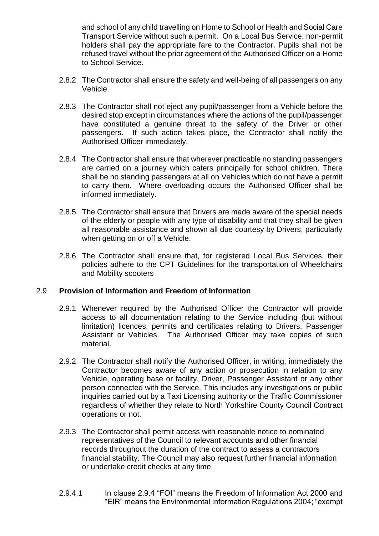and school of any child travelling on Home to School or Health and Social Care Transport Service without such a permit. On a Local Bus Service, non-permit holders shall pay the appropriate fare to the Contractor. Pupils shall not be refused travel without the prior agreement of the Authorised Officer on a Home to School Service.

- 2.8.2 The Contractor shall ensure the safety and well-being of all passengers on any Vehicle.
- 2.8.3 The Contractor shall not eject any pupil/passenger from a Vehicle before the desired stop except in circumstances where the actions of the pupil/passenger have constituted a genuine threat to the safety of the Driver or other passengers. If such action takes place, the Contractor shall notify the Authorised Officer immediately.
- 2.8.4 The Contractor shall ensure that wherever practicable no standing passengers are carried on a journey which caters principally for school children. There shall be no standing passengers at all on Vehicles which do not have a permit to carry them. Where overloading occurs the Authorised Officer shall be informed immediately.
- 2.8.5 The Contractor shall ensure that Drivers are made aware of the special needs of the elderly or people with any type of disability and that they shall be given all reasonable assistance and shown all due courtesy by Drivers, particularly when getting on or off a Vehicle.
- 2.8.6 The Contractor shall ensure that, for registered Local Bus Services, their policies adhere to the CPT Guidelines for the transportation of Wheelchairs and Mobility scooters

### 2.9 **Provision of Information and Freedom of Information**

- 2.9.1 Whenever required by the Authorised Officer the Contractor will provide access to all documentation relating to the Service including (but without limitation) licences, permits and certificates relating to Drivers, Passenger Assistant or Vehicles. The Authorised Officer may take copies of such material.
- 2.9.2 The Contractor shall notify the Authorised Officer, in writing, immediately the Contractor becomes aware of any action or prosecution in relation to any Vehicle, operating base or facility, Driver, Passenger Assistant or any other person connected with the Service. This includes any investigations or public inquiries carried out by a Taxi Licensing authority or the Traffic Commissioner regardless of whether they relate to North Yorkshire County Council Contract operations or not.
- 2.9.3 The Contractor shall permit access with reasonable notice to nominated representatives of the Council to relevant accounts and other financial records throughout the duration of the contract to assess a contractors financial stability. The Council may also request further financial information or undertake credit checks at any time.
- 2.9.4.1 In clause 2.9.4 "FOI" means the Freedom of Information Act 2000 and "EIR" means the Environmental Information Regulations 2004; "exempt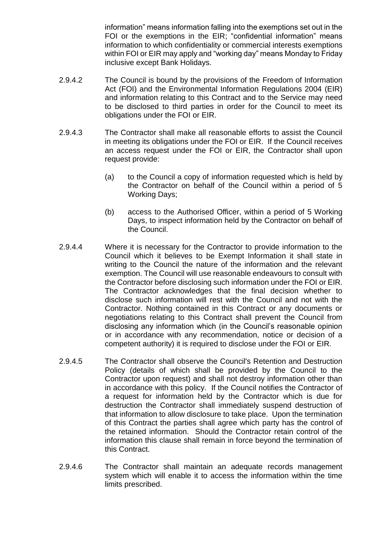information" means information falling into the exemptions set out in the FOI or the exemptions in the EIR; "confidential information" means information to which confidentiality or commercial interests exemptions within FOI or EIR may apply and "working day" means Monday to Friday inclusive except Bank Holidays.

- 2.9.4.2 The Council is bound by the provisions of the Freedom of Information Act (FOI) and the Environmental Information Regulations 2004 (EIR) and information relating to this Contract and to the Service may need to be disclosed to third parties in order for the Council to meet its obligations under the FOI or EIR.
- 2.9.4.3 The Contractor shall make all reasonable efforts to assist the Council in meeting its obligations under the FOI or EIR. If the Council receives an access request under the FOI or EIR, the Contractor shall upon request provide:
	- (a) to the Council a copy of information requested which is held by the Contractor on behalf of the Council within a period of 5 Working Days;
	- (b) access to the Authorised Officer, within a period of 5 Working Days, to inspect information held by the Contractor on behalf of the Council.
- 2.9.4.4 Where it is necessary for the Contractor to provide information to the Council which it believes to be Exempt Information it shall state in writing to the Council the nature of the information and the relevant exemption. The Council will use reasonable endeavours to consult with the Contractor before disclosing such information under the FOI or EIR. The Contractor acknowledges that the final decision whether to disclose such information will rest with the Council and not with the Contractor. Nothing contained in this Contract or any documents or negotiations relating to this Contract shall prevent the Council from disclosing any information which (in the Council's reasonable opinion or in accordance with any recommendation, notice or decision of a competent authority) it is required to disclose under the FOI or EIR.
- 2.9.4.5 The Contractor shall observe the Council's Retention and Destruction Policy (details of which shall be provided by the Council to the Contractor upon request) and shall not destroy information other than in accordance with this policy. If the Council notifies the Contractor of a request for information held by the Contractor which is due for destruction the Contractor shall immediately suspend destruction of that information to allow disclosure to take place. Upon the termination of this Contract the parties shall agree which party has the control of the retained information. Should the Contractor retain control of the information this clause shall remain in force beyond the termination of this Contract.
- 2.9.4.6 The Contractor shall maintain an adequate records management system which will enable it to access the information within the time limits prescribed.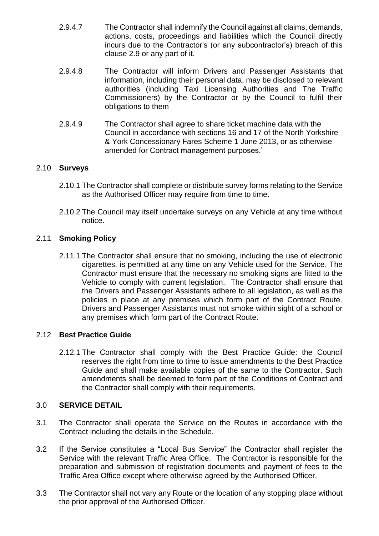- 2.9.4.7 The Contractor shall indemnify the Council against all claims, demands, actions, costs, proceedings and liabilities which the Council directly incurs due to the Contractor's (or any subcontractor's) breach of this clause 2.9 or any part of it.
- 2.9.4.8 The Contractor will inform Drivers and Passenger Assistants that information, including their personal data, may be disclosed to relevant authorities (including Taxi Licensing Authorities and The Traffic Commissioners) by the Contractor or by the Council to fulfil their obligations to them
- 2.9.4.9 The Contractor shall agree to share ticket machine data with the Council in accordance with sections 16 and 17 of the North Yorkshire & York Concessionary Fares Scheme 1 June 2013, or as otherwise amended for Contract management purposes.'

## 2.10 **Surveys**

- 2.10.1 The Contractor shall complete or distribute survey forms relating to the Service as the Authorised Officer may require from time to time.
- 2.10.2 The Council may itself undertake surveys on any Vehicle at any time without notice.

## 2.11 **Smoking Policy**

2.11.1 The Contractor shall ensure that no smoking, including the use of electronic cigarettes, is permitted at any time on any Vehicle used for the Service. The Contractor must ensure that the necessary no smoking signs are fitted to the Vehicle to comply with current legislation. The Contractor shall ensure that the Drivers and Passenger Assistants adhere to all legislation, as well as the policies in place at any premises which form part of the Contract Route. Drivers and Passenger Assistants must not smoke within sight of a school or any premises which form part of the Contract Route.

#### 2.12 **Best Practice Guide**

2.12.1 The Contractor shall comply with the Best Practice Guide: the Council reserves the right from time to time to issue amendments to the Best Practice Guide and shall make available copies of the same to the Contractor. Such amendments shall be deemed to form part of the Conditions of Contract and the Contractor shall comply with their requirements.

## 3.0 **SERVICE DETAIL**

- 3.1 The Contractor shall operate the Service on the Routes in accordance with the Contract including the details in the Schedule.
- 3.2 If the Service constitutes a "Local Bus Service" the Contractor shall register the Service with the relevant Traffic Area Office. The Contractor is responsible for the preparation and submission of registration documents and payment of fees to the Traffic Area Office except where otherwise agreed by the Authorised Officer.
- 3.3 The Contractor shall not vary any Route or the location of any stopping place without the prior approval of the Authorised Officer.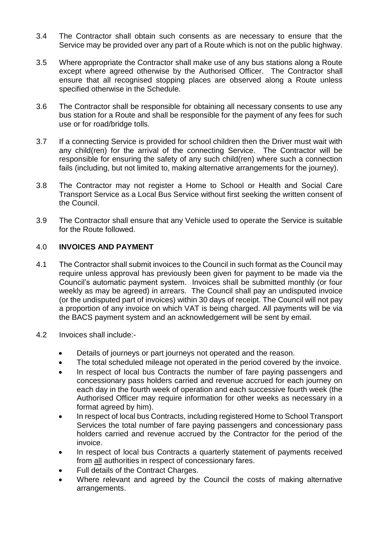- 3.4 The Contractor shall obtain such consents as are necessary to ensure that the Service may be provided over any part of a Route which is not on the public highway.
- 3.5 Where appropriate the Contractor shall make use of any bus stations along a Route except where agreed otherwise by the Authorised Officer. The Contractor shall ensure that all recognised stopping places are observed along a Route unless specified otherwise in the Schedule.
- 3.6 The Contractor shall be responsible for obtaining all necessary consents to use any bus station for a Route and shall be responsible for the payment of any fees for such use or for road/bridge tolls.
- 3.7 If a connecting Service is provided for school children then the Driver must wait with any child(ren) for the arrival of the connecting Service. The Contractor will be responsible for ensuring the safety of any such child(ren) where such a connection fails (including, but not limited to, making alternative arrangements for the journey).
- 3.8 The Contractor may not register a Home to School or Health and Social Care Transport Service as a Local Bus Service without first seeking the written consent of the Council.
- 3.9 The Contractor shall ensure that any Vehicle used to operate the Service is suitable for the Route followed.

## 4.0 **INVOICES AND PAYMENT**

- 4.1 The Contractor shall submit invoices to the Council in such format as the Council may require unless approval has previously been given for payment to be made via the Council's automatic payment system. Invoices shall be submitted monthly (or four weekly as may be agreed) in arrears. The Council shall pay an undisputed invoice (or the undisputed part of invoices) within 30 days of receipt. The Council will not pay a proportion of any invoice on which VAT is being charged. All payments will be via the BACS payment system and an acknowledgement will be sent by email.
- 4.2 Invoices shall include:-
	- Details of journeys or part journeys not operated and the reason.
	- The total scheduled mileage not operated in the period covered by the invoice.
	- In respect of local bus Contracts the number of fare paying passengers and concessionary pass holders carried and revenue accrued for each journey on each day in the fourth week of operation and each successive fourth week (the Authorised Officer may require information for other weeks as necessary in a format agreed by him).
	- In respect of local bus Contracts, including registered Home to School Transport Services the total number of fare paying passengers and concessionary pass holders carried and revenue accrued by the Contractor for the period of the invoice.
	- In respect of local bus Contracts a quarterly statement of payments received from all authorities in respect of concessionary fares.
	- Full details of the Contract Charges.
	- Where relevant and agreed by the Council the costs of making alternative arrangements.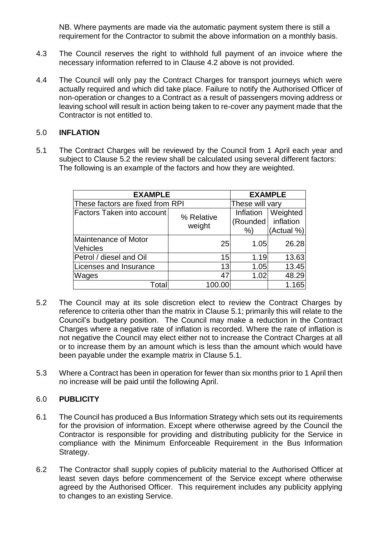NB. Where payments are made via the automatic payment system there is still a requirement for the Contractor to submit the above information on a monthly basis.

- 4.3 The Council reserves the right to withhold full payment of an invoice where the necessary information referred to in Clause 4.2 above is not provided.
- 4.4 The Council will only pay the Contract Charges for transport journeys which were actually required and which did take place. Failure to notify the Authorised Officer of non-operation or changes to a Contract as a result of passengers moving address or leaving school will result in action being taken to re-cover any payment made that the Contractor is not entitled to.

#### 5.0 **INFLATION**

5.1 The Contract Charges will be reviewed by the Council from 1 April each year and subject to Clause 5.2 the review shall be calculated using several different factors: The following is an example of the factors and how they are weighted.

| <b>EXAMPLE</b>                    | <b>EXAMPLE</b>       |                 |            |
|-----------------------------------|----------------------|-----------------|------------|
| These factors are fixed from RPI  |                      | These will vary |            |
| <b>Factors Taken into account</b> | % Relative<br>weight | Inflation       | Weighted   |
|                                   |                      | (Rounded)       | inflation  |
|                                   |                      | %               | (Actual %) |
| Maintenance of Motor              | 25                   | 1.05            | 26.28      |
| Vehicles                          |                      |                 |            |
| Petrol / diesel and Oil           | 15                   | 1.19            | 13.63      |
| Licenses and Insurance            | 13                   | 1.05            | 13.45      |
| Wages                             | 47                   | 1.02            | 48.29      |
| Total                             | 100.00               |                 | 1.165      |

- 5.2 The Council may at its sole discretion elect to review the Contract Charges by reference to criteria other than the matrix in Clause 5.1; primarily this will relate to the Council's budgetary position. The Council may make a reduction in the Contract Charges where a negative rate of inflation is recorded. Where the rate of inflation is not negative the Council may elect either not to increase the Contract Charges at all or to increase them by an amount which is less than the amount which would have been payable under the example matrix in Clause 5.1.
- 5.3 Where a Contract has been in operation for fewer than six months prior to 1 April then no increase will be paid until the following April.

#### 6.0 **PUBLICITY**

- 6.1 The Council has produced a Bus Information Strategy which sets out its requirements for the provision of information. Except where otherwise agreed by the Council the Contractor is responsible for providing and distributing publicity for the Service in compliance with the Minimum Enforceable Requirement in the Bus Information Strategy.
- 6.2 The Contractor shall supply copies of publicity material to the Authorised Officer at least seven days before commencement of the Service except where otherwise agreed by the Authorised Officer. This requirement includes any publicity applying to changes to an existing Service.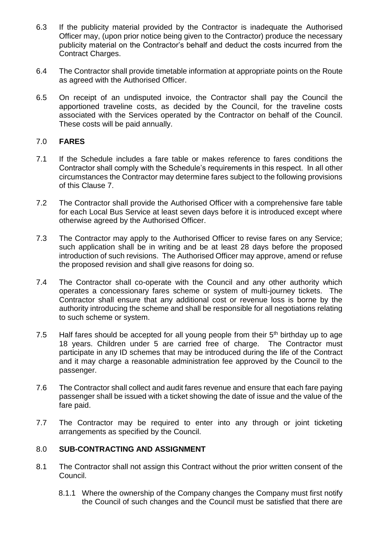- 6.3 If the publicity material provided by the Contractor is inadequate the Authorised Officer may, (upon prior notice being given to the Contractor) produce the necessary publicity material on the Contractor's behalf and deduct the costs incurred from the Contract Charges.
- 6.4 The Contractor shall provide timetable information at appropriate points on the Route as agreed with the Authorised Officer.
- 6.5 On receipt of an undisputed invoice, the Contractor shall pay the Council the apportioned traveline costs, as decided by the Council, for the traveline costs associated with the Services operated by the Contractor on behalf of the Council. These costs will be paid annually.

## 7.0 **FARES**

- 7.1 If the Schedule includes a fare table or makes reference to fares conditions the Contractor shall comply with the Schedule's requirements in this respect. In all other circumstances the Contractor may determine fares subject to the following provisions of this Clause 7.
- 7.2 The Contractor shall provide the Authorised Officer with a comprehensive fare table for each Local Bus Service at least seven days before it is introduced except where otherwise agreed by the Authorised Officer.
- 7.3 The Contractor may apply to the Authorised Officer to revise fares on any Service; such application shall be in writing and be at least 28 days before the proposed introduction of such revisions. The Authorised Officer may approve, amend or refuse the proposed revision and shall give reasons for doing so.
- 7.4 The Contractor shall co-operate with the Council and any other authority which operates a concessionary fares scheme or system of multi-journey tickets. The Contractor shall ensure that any additional cost or revenue loss is borne by the authority introducing the scheme and shall be responsible for all negotiations relating to such scheme or system.
- 7.5 Half fares should be accepted for all young people from their  $5<sup>th</sup>$  birthday up to age 18 years. Children under 5 are carried free of charge. The Contractor must participate in any ID schemes that may be introduced during the life of the Contract and it may charge a reasonable administration fee approved by the Council to the passenger.
- 7.6 The Contractor shall collect and audit fares revenue and ensure that each fare paying passenger shall be issued with a ticket showing the date of issue and the value of the fare paid.
- 7.7 The Contractor may be required to enter into any through or joint ticketing arrangements as specified by the Council.

## 8.0 **SUB-CONTRACTING AND ASSIGNMENT**

- 8.1 The Contractor shall not assign this Contract without the prior written consent of the Council.
	- 8.1.1 Where the ownership of the Company changes the Company must first notify the Council of such changes and the Council must be satisfied that there are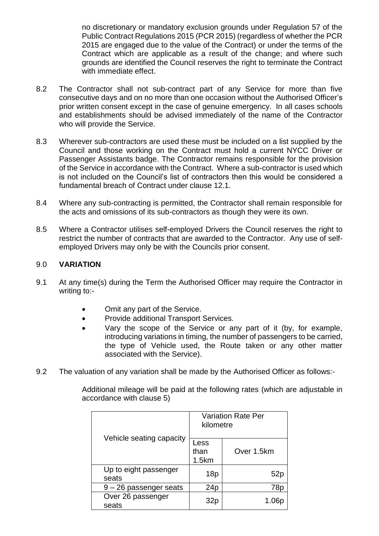no discretionary or mandatory exclusion grounds under Regulation 57 of the Public Contract Regulations 2015 (PCR 2015) (regardless of whether the PCR 2015 are engaged due to the value of the Contract) or under the terms of the Contract which are applicable as a result of the change; and where such grounds are identified the Council reserves the right to terminate the Contract with immediate effect.

- 8.2 The Contractor shall not sub-contract part of any Service for more than five consecutive days and on no more than one occasion without the Authorised Officer's prior written consent except in the case of genuine emergency. In all cases schools and establishments should be advised immediately of the name of the Contractor who will provide the Service.
- 8.3 Wherever sub-contractors are used these must be included on a list supplied by the Council and those working on the Contract must hold a current NYCC Driver or Passenger Assistants badge. The Contractor remains responsible for the provision of the Service in accordance with the Contract. Where a sub-contractor is used which is not included on the Council's list of contractors then this would be considered a fundamental breach of Contract under clause 12.1.
- 8.4 Where any sub-contracting is permitted, the Contractor shall remain responsible for the acts and omissions of its sub-contractors as though they were its own.
- 8.5 Where a Contractor utilises self-employed Drivers the Council reserves the right to restrict the number of contracts that are awarded to the Contractor. Any use of selfemployed Drivers may only be with the Councils prior consent.

## 9.0 **VARIATION**

- 9.1 At any time(s) during the Term the Authorised Officer may require the Contractor in writing to:-
	- Omit any part of the Service.
	- Provide additional Transport Services.
	- Vary the scope of the Service or any part of it (by, for example, introducing variations in timing, the number of passengers to be carried, the type of Vehicle used, the Route taken or any other matter associated with the Service).
- 9.2 The valuation of any variation shall be made by the Authorised Officer as follows:-

Additional mileage will be paid at the following rates (which are adjustable in accordance with clause 5)

|                                | <b>Variation Rate Per</b><br>kilometre |            |  |
|--------------------------------|----------------------------------------|------------|--|
| Vehicle seating capacity       | Less<br>than<br>1.5km                  | Over 1.5km |  |
| Up to eight passenger<br>seats | 18p                                    | 52p        |  |
| 9 - 26 passenger seats         | 24 <sub>p</sub>                        | 78p        |  |
| Over 26 passenger<br>seats     | 32r                                    |            |  |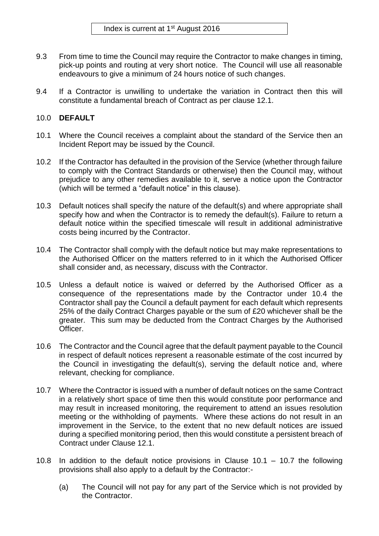- 9.3 From time to time the Council may require the Contractor to make changes in timing, pick-up points and routing at very short notice. The Council will use all reasonable endeavours to give a minimum of 24 hours notice of such changes.
- 9.4 If a Contractor is unwilling to undertake the variation in Contract then this will constitute a fundamental breach of Contract as per clause 12.1.

# 10.0 **DEFAULT**

- 10.1 Where the Council receives a complaint about the standard of the Service then an Incident Report may be issued by the Council.
- 10.2 If the Contractor has defaulted in the provision of the Service (whether through failure to comply with the Contract Standards or otherwise) then the Council may, without prejudice to any other remedies available to it, serve a notice upon the Contractor (which will be termed a "default notice" in this clause).
- 10.3 Default notices shall specify the nature of the default(s) and where appropriate shall specify how and when the Contractor is to remedy the default(s). Failure to return a default notice within the specified timescale will result in additional administrative costs being incurred by the Contractor.
- 10.4 The Contractor shall comply with the default notice but may make representations to the Authorised Officer on the matters referred to in it which the Authorised Officer shall consider and, as necessary, discuss with the Contractor.
- 10.5 Unless a default notice is waived or deferred by the Authorised Officer as a consequence of the representations made by the Contractor under 10.4 the Contractor shall pay the Council a default payment for each default which represents 25% of the daily Contract Charges payable or the sum of £20 whichever shall be the greater. This sum may be deducted from the Contract Charges by the Authorised Officer.
- 10.6 The Contractor and the Council agree that the default payment payable to the Council in respect of default notices represent a reasonable estimate of the cost incurred by the Council in investigating the default(s), serving the default notice and, where relevant, checking for compliance.
- 10.7 Where the Contractor is issued with a number of default notices on the same Contract in a relatively short space of time then this would constitute poor performance and may result in increased monitoring, the requirement to attend an issues resolution meeting or the withholding of payments. Where these actions do not result in an improvement in the Service, to the extent that no new default notices are issued during a specified monitoring period, then this would constitute a persistent breach of Contract under Clause 12.1.
- 10.8 In addition to the default notice provisions in Clause 10.1 10.7 the following provisions shall also apply to a default by the Contractor:-
	- (a) The Council will not pay for any part of the Service which is not provided by the Contractor.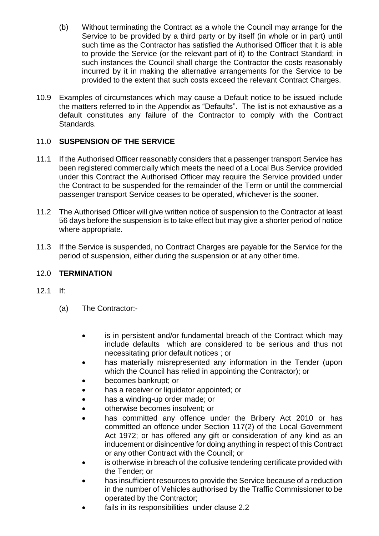- (b) Without terminating the Contract as a whole the Council may arrange for the Service to be provided by a third party or by itself (in whole or in part) until such time as the Contractor has satisfied the Authorised Officer that it is able to provide the Service (or the relevant part of it) to the Contract Standard; in such instances the Council shall charge the Contractor the costs reasonably incurred by it in making the alternative arrangements for the Service to be provided to the extent that such costs exceed the relevant Contract Charges.
- 10.9 Examples of circumstances which may cause a Default notice to be issued include the matters referred to in the Appendix as "Defaults". The list is not exhaustive as a default constitutes any failure of the Contractor to comply with the Contract Standards.

# 11.0 **SUSPENSION OF THE SERVICE**

- 11.1 If the Authorised Officer reasonably considers that a passenger transport Service has been registered commercially which meets the need of a Local Bus Service provided under this Contract the Authorised Officer may require the Service provided under the Contract to be suspended for the remainder of the Term or until the commercial passenger transport Service ceases to be operated, whichever is the sooner.
- 11.2 The Authorised Officer will give written notice of suspension to the Contractor at least 56 days before the suspension is to take effect but may give a shorter period of notice where appropriate.
- 11.3 If the Service is suspended, no Contract Charges are payable for the Service for the period of suspension, either during the suspension or at any other time.

# 12.0 **TERMINATION**

- 12.1 If:
	- (a) The Contractor:-
		- is in persistent and/or fundamental breach of the Contract which may include defaults which are considered to be serious and thus not necessitating prior default notices ; or
		- has materially misrepresented any information in the Tender (upon which the Council has relied in appointing the Contractor); or
		- becomes bankrupt; or
		- has a receiver or liquidator appointed; or
		- has a winding-up order made; or
		- otherwise becomes insolvent; or
		- has committed any offence under the Bribery Act 2010 or has committed an offence under Section 117(2) of the Local Government Act 1972; or has offered any gift or consideration of any kind as an inducement or disincentive for doing anything in respect of this Contract or any other Contract with the Council; or
		- is otherwise in breach of the collusive tendering certificate provided with the Tender; or
		- has insufficient resources to provide the Service because of a reduction in the number of Vehicles authorised by the Traffic Commissioner to be operated by the Contractor;
		- fails in its responsibilities under clause 2.2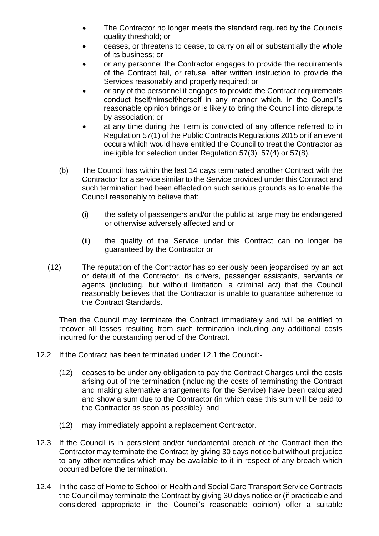- The Contractor no longer meets the standard required by the Councils quality threshold; or
- ceases, or threatens to cease, to carry on all or substantially the whole of its business; or
- or any personnel the Contractor engages to provide the requirements of the Contract fail, or refuse, after written instruction to provide the Services reasonably and properly required; or
- or any of the personnel it engages to provide the Contract requirements conduct itself/himself/herself in any manner which, in the Council's reasonable opinion brings or is likely to bring the Council into disrepute by association; or
- at any time during the Term is convicted of any offence referred to in Regulation 57(1) of the Public Contracts Regulations 2015 or if an event occurs which would have entitled the Council to treat the Contractor as ineligible for selection under Regulation 57(3), 57(4) or 57(8).
- (b) The Council has within the last 14 days terminated another Contract with the Contractor for a service similar to the Service provided under this Contract and such termination had been effected on such serious grounds as to enable the Council reasonably to believe that:
	- (i) the safety of passengers and/or the public at large may be endangered or otherwise adversely affected and or
	- (ii) the quality of the Service under this Contract can no longer be guaranteed by the Contractor or
- (12) The reputation of the Contractor has so seriously been jeopardised by an act or default of the Contractor, its drivers, passenger assistants, servants or agents (including, but without limitation, a criminal act) that the Council reasonably believes that the Contractor is unable to guarantee adherence to the Contract Standards.

Then the Council may terminate the Contract immediately and will be entitled to recover all losses resulting from such termination including any additional costs incurred for the outstanding period of the Contract.

- 12.2 If the Contract has been terminated under 12.1 the Council:-
	- (12) ceases to be under any obligation to pay the Contract Charges until the costs arising out of the termination (including the costs of terminating the Contract and making alternative arrangements for the Service) have been calculated and show a sum due to the Contractor (in which case this sum will be paid to the Contractor as soon as possible); and
	- (12) may immediately appoint a replacement Contractor.
- 12.3 If the Council is in persistent and/or fundamental breach of the Contract then the Contractor may terminate the Contract by giving 30 days notice but without prejudice to any other remedies which may be available to it in respect of any breach which occurred before the termination.
- 12.4 In the case of Home to School or Health and Social Care Transport Service Contracts the Council may terminate the Contract by giving 30 days notice or (if practicable and considered appropriate in the Council's reasonable opinion) offer a suitable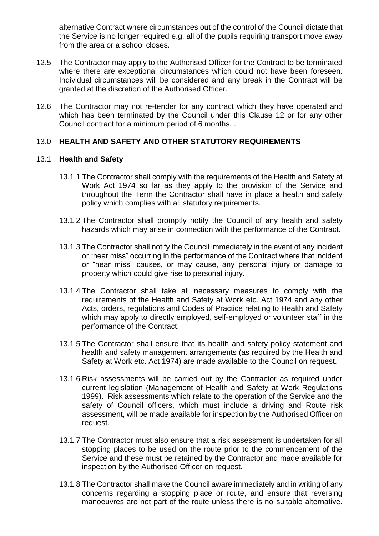alternative Contract where circumstances out of the control of the Council dictate that the Service is no longer required e.g. all of the pupils requiring transport move away from the area or a school closes.

- 12.5 The Contractor may apply to the Authorised Officer for the Contract to be terminated where there are exceptional circumstances which could not have been foreseen. Individual circumstances will be considered and any break in the Contract will be granted at the discretion of the Authorised Officer.
- 12.6 The Contractor may not re-tender for any contract which they have operated and which has been terminated by the Council under this Clause 12 or for any other Council contract for a minimum period of 6 months. .

# 13.0 **HEALTH AND SAFETY AND OTHER STATUTORY REQUIREMENTS**

## 13.1 **Health and Safety**

- 13.1.1 The Contractor shall comply with the requirements of the Health and Safety at Work Act 1974 so far as they apply to the provision of the Service and throughout the Term the Contractor shall have in place a health and safety policy which complies with all statutory requirements.
- 13.1.2 The Contractor shall promptly notify the Council of any health and safety hazards which may arise in connection with the performance of the Contract.
- 13.1.3 The Contractor shall notify the Council immediately in the event of any incident or "near miss" occurring in the performance of the Contract where that incident or "near miss" causes, or may cause, any personal injury or damage to property which could give rise to personal injury.
- 13.1.4 The Contractor shall take all necessary measures to comply with the requirements of the Health and Safety at Work etc. Act 1974 and any other Acts, orders, regulations and Codes of Practice relating to Health and Safety which may apply to directly employed, self-employed or volunteer staff in the performance of the Contract.
- 13.1.5 The Contractor shall ensure that its health and safety policy statement and health and safety management arrangements (as required by the Health and Safety at Work etc. Act 1974) are made available to the Council on request.
- 13.1.6 Risk assessments will be carried out by the Contractor as required under current legislation (Management of Health and Safety at Work Regulations 1999). Risk assessments which relate to the operation of the Service and the safety of Council officers, which must include a driving and Route risk assessment, will be made available for inspection by the Authorised Officer on request.
- 13.1.7 The Contractor must also ensure that a risk assessment is undertaken for all stopping places to be used on the route prior to the commencement of the Service and these must be retained by the Contractor and made available for inspection by the Authorised Officer on request.
- 13.1.8 The Contractor shall make the Council aware immediately and in writing of any concerns regarding a stopping place or route, and ensure that reversing manoeuvres are not part of the route unless there is no suitable alternative.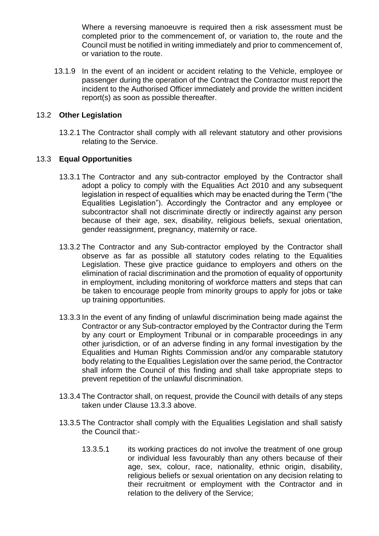Where a reversing manoeuvre is required then a risk assessment must be completed prior to the commencement of, or variation to, the route and the Council must be notified in writing immediately and prior to commencement of, or variation to the route.

13.1.9 In the event of an incident or accident relating to the Vehicle, employee or passenger during the operation of the Contract the Contractor must report the incident to the Authorised Officer immediately and provide the written incident report(s) as soon as possible thereafter.

#### 13.2 **Other Legislation**

13.2.1 The Contractor shall comply with all relevant statutory and other provisions relating to the Service.

## 13.3 **Equal Opportunities**

- 13.3.1 The Contractor and any sub-contractor employed by the Contractor shall adopt a policy to comply with the Equalities Act 2010 and any subsequent legislation in respect of equalities which may be enacted during the Term ("the Equalities Legislation"). Accordingly the Contractor and any employee or subcontractor shall not discriminate directly or indirectly against any person because of their age, sex, disability, religious beliefs, sexual orientation, gender reassignment, pregnancy, maternity or race.
- 13.3.2 The Contractor and any Sub-contractor employed by the Contractor shall observe as far as possible all statutory codes relating to the Equalities Legislation. These give practice guidance to employers and others on the elimination of racial discrimination and the promotion of equality of opportunity in employment, including monitoring of workforce matters and steps that can be taken to encourage people from minority groups to apply for jobs or take up training opportunities.
- 13.3.3 In the event of any finding of unlawful discrimination being made against the Contractor or any Sub-contractor employed by the Contractor during the Term by any court or Employment Tribunal or in comparable proceedings in any other jurisdiction, or of an adverse finding in any formal investigation by the Equalities and Human Rights Commission and/or any comparable statutory body relating to the Equalities Legislation over the same period, the Contractor shall inform the Council of this finding and shall take appropriate steps to prevent repetition of the unlawful discrimination.
- 13.3.4 The Contractor shall, on request, provide the Council with details of any steps taken under Clause 13.3.3 above.
- 13.3.5 The Contractor shall comply with the Equalities Legislation and shall satisfy the Council that:-
	- 13.3.5.1 its working practices do not involve the treatment of one group or individual less favourably than any others because of their age, sex, colour, race, nationality, ethnic origin, disability, religious beliefs or sexual orientation on any decision relating to their recruitment or employment with the Contractor and in relation to the delivery of the Service;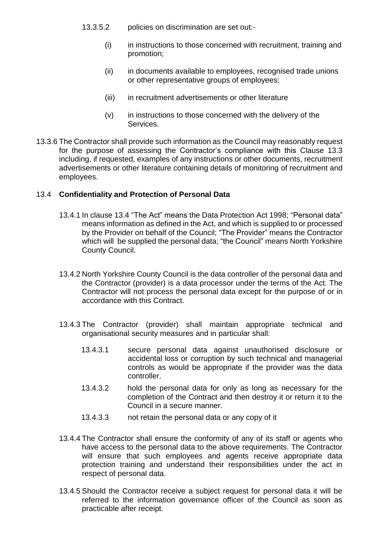- 13.3.5.2 policies on discrimination are set out:-
	- (i) in instructions to those concerned with recruitment, training and promotion;
	- (ii) in documents available to employees, recognised trade unions or other representative groups of employees;
	- (iii) in recruitment advertisements or other literature
	- (v) in instructions to those concerned with the delivery of the Services.
- 13.3.6 The Contractor shall provide such information as the Council may reasonably request for the purpose of assessing the Contractor's compliance with this Clause 13.3 including, if requested, examples of any instructions or other documents, recruitment advertisements or other literature containing details of monitoring of recruitment and employees.

#### 13.4 **Confidentiality and Protection of Personal Data**

- 13.4.1 In clause 13.4 "The Act" means the Data Protection Act 1998; "Personal data" means information as defined in the Act, and which is supplied to or processed by the Provider on behalf of the Council; "The Provider" means the Contractor which will be supplied the personal data; "the Council" means North Yorkshire County Council.
- 13.4.2 North Yorkshire County Council is the data controller of the personal data and the Contractor (provider) is a data processor under the terms of the Act. The Contractor will not process the personal data except for the purpose of or in accordance with this Contract.
- 13.4.3 The Contractor (provider) shall maintain appropriate technical and organisational security measures and in particular shall:
	- 13.4.3.1 secure personal data against unauthorised disclosure or accidental loss or corruption by such technical and managerial controls as would be appropriate if the provider was the data controller.
	- 13.4.3.2 hold the personal data for only as long as necessary for the completion of the Contract and then destroy it or return it to the Council in a secure manner.
	- 13.4.3.3 not retain the personal data or any copy of it
- 13.4.4 The Contractor shall ensure the conformity of any of its staff or agents who have access to the personal data to the above requirements. The Contractor will ensure that such employees and agents receive appropriate data protection training and understand their responsibilities under the act in respect of personal data.
- 13.4.5 Should the Contractor receive a subject request for personal data it will be referred to the information governance officer of the Council as soon as practicable after receipt.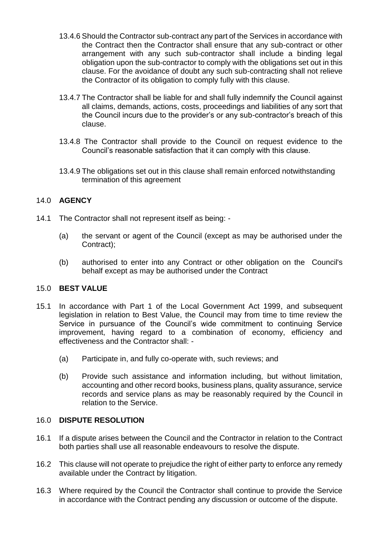- 13.4.6 Should the Contractor sub-contract any part of the Services in accordance with the Contract then the Contractor shall ensure that any sub-contract or other arrangement with any such sub-contractor shall include a binding legal obligation upon the sub-contractor to comply with the obligations set out in this clause. For the avoidance of doubt any such sub-contracting shall not relieve the Contractor of its obligation to comply fully with this clause.
- 13.4.7 The Contractor shall be liable for and shall fully indemnify the Council against all claims, demands, actions, costs, proceedings and liabilities of any sort that the Council incurs due to the provider's or any sub-contractor's breach of this clause.
- 13.4.8 The Contractor shall provide to the Council on request evidence to the Council's reasonable satisfaction that it can comply with this clause.
- 13.4.9 The obligations set out in this clause shall remain enforced notwithstanding termination of this agreement

# 14.0 **AGENCY**

- 14.1 The Contractor shall not represent itself as being:
	- (a) the servant or agent of the Council (except as may be authorised under the Contract);
	- (b) authorised to enter into any Contract or other obligation on the Council's behalf except as may be authorised under the Contract

#### 15.0 **BEST VALUE**

- 15.1 In accordance with Part 1 of the Local Government Act 1999, and subsequent legislation in relation to Best Value, the Council may from time to time review the Service in pursuance of the Council's wide commitment to continuing Service improvement, having regard to a combination of economy, efficiency and effectiveness and the Contractor shall: -
	- (a) Participate in, and fully co-operate with, such reviews; and
	- (b) Provide such assistance and information including, but without limitation, accounting and other record books, business plans, quality assurance, service records and service plans as may be reasonably required by the Council in relation to the Service.

#### 16.0 **DISPUTE RESOLUTION**

- 16.1 If a dispute arises between the Council and the Contractor in relation to the Contract both parties shall use all reasonable endeavours to resolve the dispute.
- 16.2 This clause will not operate to prejudice the right of either party to enforce any remedy available under the Contract by litigation.
- 16.3 Where required by the Council the Contractor shall continue to provide the Service in accordance with the Contract pending any discussion or outcome of the dispute.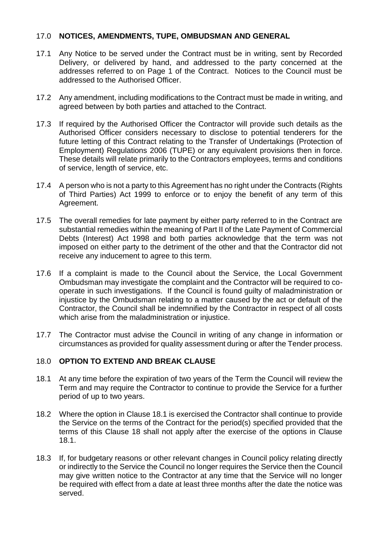#### 17.0 **NOTICES, AMENDMENTS, TUPE, OMBUDSMAN AND GENERAL**

- 17.1 Any Notice to be served under the Contract must be in writing, sent by Recorded Delivery, or delivered by hand, and addressed to the party concerned at the addresses referred to on Page 1 of the Contract. Notices to the Council must be addressed to the Authorised Officer.
- 17.2 Any amendment, including modifications to the Contract must be made in writing, and agreed between by both parties and attached to the Contract.
- 17.3 If required by the Authorised Officer the Contractor will provide such details as the Authorised Officer considers necessary to disclose to potential tenderers for the future letting of this Contract relating to the Transfer of Undertakings (Protection of Employment) Regulations 2006 (TUPE) or any equivalent provisions then in force. These details will relate primarily to the Contractors employees, terms and conditions of service, length of service, etc.
- 17.4 A person who is not a party to this Agreement has no right under the Contracts (Rights of Third Parties) Act 1999 to enforce or to enjoy the benefit of any term of this Agreement.
- 17.5 The overall remedies for late payment by either party referred to in the Contract are substantial remedies within the meaning of Part II of the Late Payment of Commercial Debts (Interest) Act 1998 and both parties acknowledge that the term was not imposed on either party to the detriment of the other and that the Contractor did not receive any inducement to agree to this term.
- 17.6 If a complaint is made to the Council about the Service, the Local Government Ombudsman may investigate the complaint and the Contractor will be required to cooperate in such investigations. If the Council is found guilty of maladministration or injustice by the Ombudsman relating to a matter caused by the act or default of the Contractor, the Council shall be indemnified by the Contractor in respect of all costs which arise from the maladministration or injustice.
- 17.7 The Contractor must advise the Council in writing of any change in information or circumstances as provided for quality assessment during or after the Tender process.

# 18.0 **OPTION TO EXTEND AND BREAK CLAUSE**

- 18.1 At any time before the expiration of two years of the Term the Council will review the Term and may require the Contractor to continue to provide the Service for a further period of up to two years.
- 18.2 Where the option in Clause 18.1 is exercised the Contractor shall continue to provide the Service on the terms of the Contract for the period(s) specified provided that the terms of this Clause 18 shall not apply after the exercise of the options in Clause 18.1.
- 18.3 If, for budgetary reasons or other relevant changes in Council policy relating directly or indirectly to the Service the Council no longer requires the Service then the Council may give written notice to the Contractor at any time that the Service will no longer be required with effect from a date at least three months after the date the notice was served.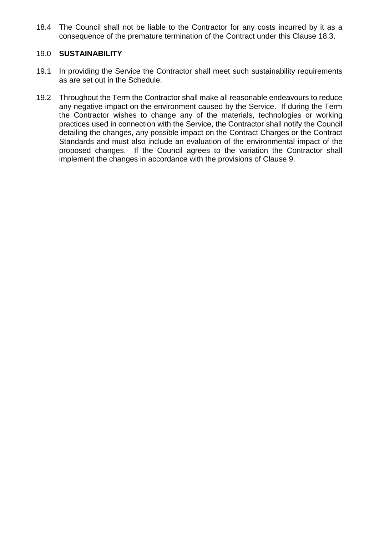18.4 The Council shall not be liable to the Contractor for any costs incurred by it as a consequence of the premature termination of the Contract under this Clause 18.3.

## 19.0 **SUSTAINABILITY**

- 19.1 In providing the Service the Contractor shall meet such sustainability requirements as are set out in the Schedule.
- 19.2 Throughout the Term the Contractor shall make all reasonable endeavours to reduce any negative impact on the environment caused by the Service. If during the Term the Contractor wishes to change any of the materials, technologies or working practices used in connection with the Service, the Contractor shall notify the Council detailing the changes, any possible impact on the Contract Charges or the Contract Standards and must also include an evaluation of the environmental impact of the proposed changes. If the Council agrees to the variation the Contractor shall implement the changes in accordance with the provisions of Clause 9.